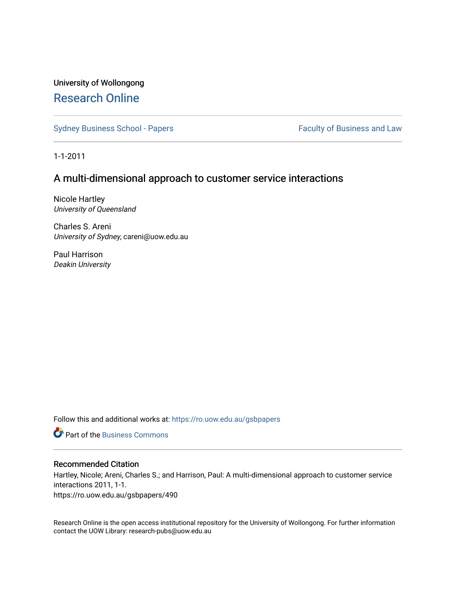# University of Wollongong [Research Online](https://ro.uow.edu.au/)

[Sydney Business School - Papers](https://ro.uow.edu.au/gsbpapers) Faculty of Business and Law

1-1-2011

## A multi-dimensional approach to customer service interactions

Nicole Hartley University of Queensland

Charles S. Areni University of Sydney, careni@uow.edu.au

Paul Harrison Deakin University

Follow this and additional works at: [https://ro.uow.edu.au/gsbpapers](https://ro.uow.edu.au/gsbpapers?utm_source=ro.uow.edu.au%2Fgsbpapers%2F490&utm_medium=PDF&utm_campaign=PDFCoverPages) 

**C** Part of the [Business Commons](http://network.bepress.com/hgg/discipline/622?utm_source=ro.uow.edu.au%2Fgsbpapers%2F490&utm_medium=PDF&utm_campaign=PDFCoverPages)

#### Recommended Citation

Hartley, Nicole; Areni, Charles S.; and Harrison, Paul: A multi-dimensional approach to customer service interactions 2011, 1-1.

https://ro.uow.edu.au/gsbpapers/490

Research Online is the open access institutional repository for the University of Wollongong. For further information contact the UOW Library: research-pubs@uow.edu.au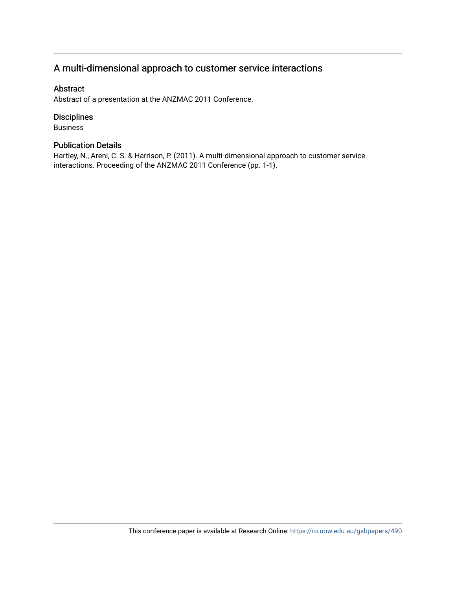# A multi-dimensional approach to customer service interactions

### Abstract

Abstract of a presentation at the ANZMAC 2011 Conference.

### Disciplines

Business

### Publication Details

Hartley, N., Areni, C. S. & Harrison, P. (2011). A multi-dimensional approach to customer service interactions. Proceeding of the ANZMAC 2011 Conference (pp. 1-1).